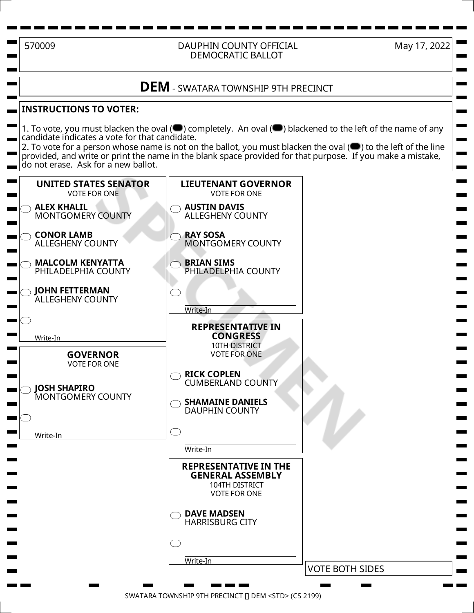## 570009 DAUPHIN COUNTY OFFICIAL DEMOCRATIC BALLOT

May 17, 2022

## **DEM** - SWATARA TOWNSHIP 9TH PRECINCT

## **INSTRUCTIONS TO VOTER:**

1. To vote, you must blacken the oval (●) completely. An oval (●) blackened to the left of the name of any candidate indicates a vote for that candidate.

2. To vote for a person whose name is not on the ballot, you must blacken the oval ( $\blacksquare$ ) to the left of the line provided, and write or print the name in the blank space provided for that purpose. If you make a mistake, do not erase. Ask for a new ballot.

| <b>UNITED STATES SENATOR</b><br><b>LIEUTENANT GOVERNOR</b><br><b>VOTE FOR ONE</b><br><b>VOTE FOR ONE</b><br><b>ALEX KHALIL</b><br><b>AUSTIN DAVIS</b><br><b>MONTGOMERY COUNTY</b><br><b>ALLEGHENY COUNTY</b><br><b>RAY SOSA</b><br><b>CONOR LAMB</b><br><b>MONTGOMERY COUNTY</b><br><b>ALLEGHENY COUNTY</b><br>$\bigcap$ MALCOLM KENYATTA<br><b>BRIAN SIMS</b><br>PHILADELPHIA COUNTY<br>PHILADELPHIA COUNTY<br>JOHN FETTERMAN<br>ALLEGHENY COUNTY<br>Write-In<br><b>REPRESENTATIVE IN</b><br><b>CONGRESS</b><br>Write-In<br>10TH DISTRICT<br><b>VOTE FOR ONE</b><br><b>GOVERNOR</b><br><b>VOTE FOR ONE</b><br><b>RICK COPLEN</b><br><b>CUMBERLAND COUNTY</b><br><b>JOSH SHAPIRO</b><br>MONTGOMERY COUNTY<br><b>SHAMAINE DANIELS</b><br><b>DAUPHIN COUNTY</b> |                        |
|---------------------------------------------------------------------------------------------------------------------------------------------------------------------------------------------------------------------------------------------------------------------------------------------------------------------------------------------------------------------------------------------------------------------------------------------------------------------------------------------------------------------------------------------------------------------------------------------------------------------------------------------------------------------------------------------------------------------------------------------------------------|------------------------|
|                                                                                                                                                                                                                                                                                                                                                                                                                                                                                                                                                                                                                                                                                                                                                               |                        |
|                                                                                                                                                                                                                                                                                                                                                                                                                                                                                                                                                                                                                                                                                                                                                               |                        |
|                                                                                                                                                                                                                                                                                                                                                                                                                                                                                                                                                                                                                                                                                                                                                               |                        |
|                                                                                                                                                                                                                                                                                                                                                                                                                                                                                                                                                                                                                                                                                                                                                               |                        |
|                                                                                                                                                                                                                                                                                                                                                                                                                                                                                                                                                                                                                                                                                                                                                               |                        |
|                                                                                                                                                                                                                                                                                                                                                                                                                                                                                                                                                                                                                                                                                                                                                               |                        |
|                                                                                                                                                                                                                                                                                                                                                                                                                                                                                                                                                                                                                                                                                                                                                               |                        |
|                                                                                                                                                                                                                                                                                                                                                                                                                                                                                                                                                                                                                                                                                                                                                               |                        |
| Write-In<br>Write-In                                                                                                                                                                                                                                                                                                                                                                                                                                                                                                                                                                                                                                                                                                                                          |                        |
| <b>REPRESENTATIVE IN THE</b><br><b>GENERAL ASSEMBLY</b><br><b>104TH DISTRICT</b><br><b>VOTE FOR ONE</b>                                                                                                                                                                                                                                                                                                                                                                                                                                                                                                                                                                                                                                                       |                        |
| <b>DAVE MADSEN</b><br><b>HARRISBURG CITY</b>                                                                                                                                                                                                                                                                                                                                                                                                                                                                                                                                                                                                                                                                                                                  |                        |
| Write-In                                                                                                                                                                                                                                                                                                                                                                                                                                                                                                                                                                                                                                                                                                                                                      | <b>VOTE BOTH SIDES</b> |